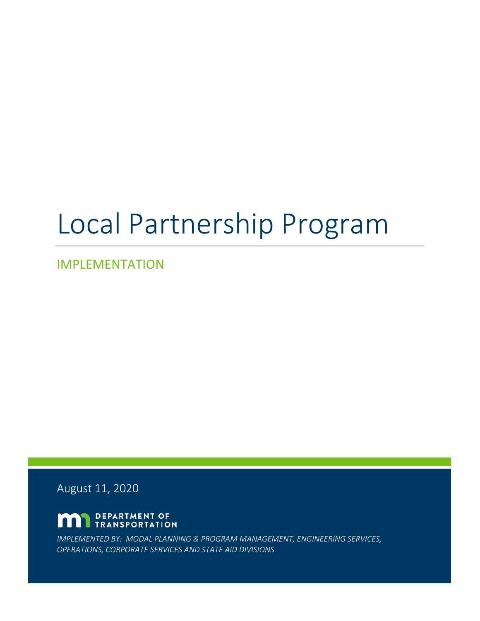# Local Partnership Program

IMPLEMENTATION

August 11, 2020

DEPARTMENT OF n **TRANSPORTATION** 

*IMPLEMENTED BY: MODAL PLANNING & PROGRAM MANAGEMENT, ENGINEERING SERVICES, OPERATIONS, CORPORATE SERVICES AND STATE AID DIVISIONS*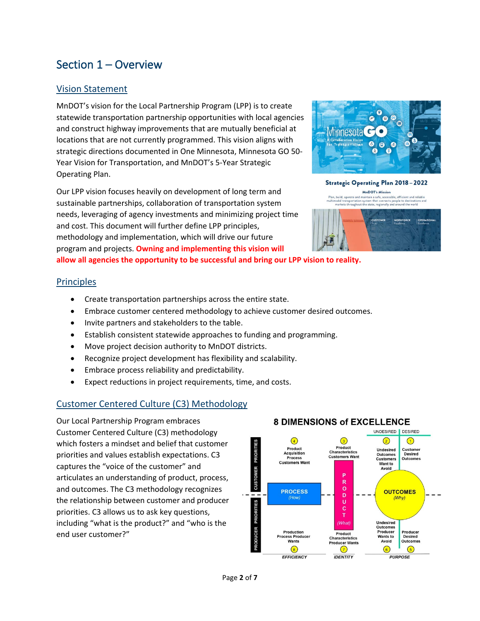## Section 1 – Overview

#### Vision Statement

MnDOT's vision for the Local Partnership Program (LPP) is to create statewide transportation partnership opportunities with local agencies and construct highway improvements that are mutually beneficial at locations that are not currently programmed. This vision aligns with strategic directions documented in One Minnesota, Minnesota GO 50- Year Vision for Transportation, and MnDOT's 5-Year Strategic Operating Plan.

Our LPP vision focuses heavily on development of long term and sustainable partnerships, collaboration of transportation system needs, leveraging of agency investments and minimizing project time and cost. This document will further define LPP principles, methodology and implementation, which will drive our future program and projects. **Owning and implementing this vision will** 



Strategic Operating Plan 2018-2022 **MnDOT's Mission** 

at connects people to destinations and<br>regionally and around the world



**allow all agencies the opportunity to be successful and bring our LPP vision to reality.**

#### **Principles**

- Create transportation partnerships across the entire state.
- Embrace customer centered methodology to achieve customer desired outcomes.
- Invite partners and stakeholders to the table.
- Establish consistent statewide approaches to funding and programming.
- Move project decision authority to MnDOT districts.
- Recognize project development has flexibility and scalability.
- Embrace process reliability and predictability.
- Expect reductions in project requirements, time, and costs.

#### Customer Centered Culture (C3) Methodology

Our Local Partnership Program embraces Customer Centered Culture (C3) methodology which fosters a mindset and belief that customer priorities and values establish expectations. C3 captures the "voice of the customer" and articulates an understanding of product, process, and outcomes. The C3 methodology recognizes the relationship between customer and producer priorities. C3 allows us to ask key questions, including "what is the product?" and "who is the end user customer?"



### **8 DIMENSIONS of EXCELLENCE**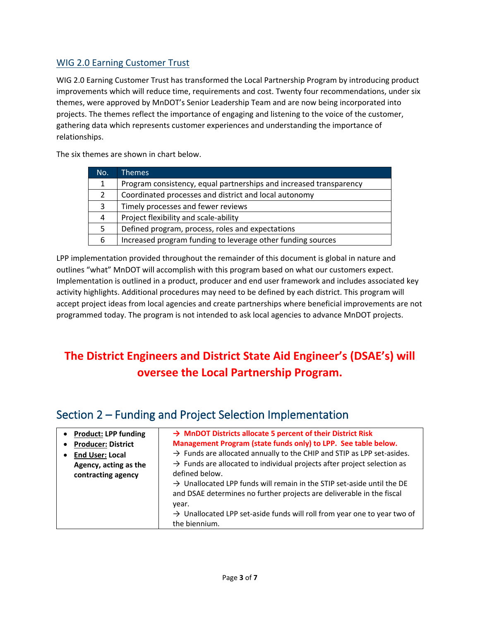#### WIG 2.0 Earning Customer Trust

WIG 2.0 Earning Customer Trust has transformed the Local Partnership Program by introducing product improvements which will reduce time, requirements and cost. Twenty four recommendations, under six themes, were approved by MnDOT's Senior Leadership Team and are now being incorporated into projects. The themes reflect the importance of engaging and listening to the voice of the customer, gathering data which represents customer experiences and understanding the importance of relationships.

The six themes are shown in chart below.

| No. | <b>Themes</b>                                                      |
|-----|--------------------------------------------------------------------|
| 1.  | Program consistency, equal partnerships and increased transparency |
| 2   | Coordinated processes and district and local autonomy              |
| 3   | Timely processes and fewer reviews                                 |
| 4   | Project flexibility and scale-ability                              |
| 5.  | Defined program, process, roles and expectations                   |
| 6   | Increased program funding to leverage other funding sources        |

LPP implementation provided throughout the remainder of this document is global in nature and outlines "what" MnDOT will accomplish with this program based on what our customers expect. Implementation is outlined in a product, producer and end user framework and includes associated key activity highlights. Additional procedures may need to be defined by each district. This program will accept project ideas from local agencies and create partnerships where beneficial improvements are not programmed today. The program is not intended to ask local agencies to advance MnDOT projects.

# **The District Engineers and District State Aid Engineer's (DSAE's) will oversee the Local Partnership Program.**

| <b>Product: LPP funding</b>                 | $\rightarrow$ MnDOT Districts allocate 5 percent of their District Risk                                                                                                                                                                                              |
|---------------------------------------------|----------------------------------------------------------------------------------------------------------------------------------------------------------------------------------------------------------------------------------------------------------------------|
| <b>Producer: District</b>                   | Management Program (state funds only) to LPP. See table below.                                                                                                                                                                                                       |
| <b>End User: Local</b>                      | $\rightarrow$ Funds are allocated annually to the CHIP and STIP as LPP set-asides.                                                                                                                                                                                   |
| Agency, acting as the<br>contracting agency | $\rightarrow$ Funds are allocated to individual projects after project selection as<br>defined below.<br>$\rightarrow$ Unallocated LPP funds will remain in the STIP set-aside until the DE<br>and DSAE determines no further projects are deliverable in the fiscal |
|                                             | year.<br>$\rightarrow$ Unallocated LPP set-aside funds will roll from year one to year two of<br>the biennium.                                                                                                                                                       |

## Section 2 – Funding and Project Selection Implementation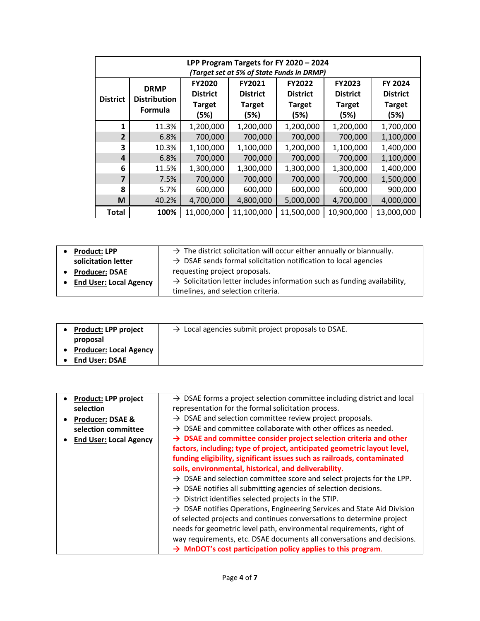| LPP Program Targets for FY 2020 - 2024<br>(Target set at 5% of State Funds in DRMP) |                                                      |                                                           |                                                    |                                                    |                                                           |                                                     |
|-------------------------------------------------------------------------------------|------------------------------------------------------|-----------------------------------------------------------|----------------------------------------------------|----------------------------------------------------|-----------------------------------------------------------|-----------------------------------------------------|
| <b>District</b>                                                                     | <b>DRMP</b><br><b>Distribution</b><br><b>Formula</b> | <b>FY2020</b><br><b>District</b><br><b>Target</b><br>(5%) | FY2021<br><b>District</b><br><b>Target</b><br>(5%) | FY2022<br><b>District</b><br><b>Target</b><br>(5%) | <b>FY2023</b><br><b>District</b><br><b>Target</b><br>(5%) | FY 2024<br><b>District</b><br><b>Target</b><br>(5%) |
| 1                                                                                   | 11.3%                                                | 1,200,000                                                 | 1,200,000                                          | 1,200,000                                          | 1,200,000                                                 | 1,700,000                                           |
| $\overline{2}$                                                                      | 6.8%                                                 | 700,000                                                   | 700,000                                            | 700,000                                            | 700,000                                                   | 1,100,000                                           |
| 3                                                                                   | 10.3%                                                | 1,100,000                                                 | 1,100,000                                          | 1,200,000                                          | 1,100,000                                                 | 1,400,000                                           |
| 4                                                                                   | 6.8%                                                 | 700,000                                                   | 700,000                                            | 700,000                                            | 700,000                                                   | 1,100,000                                           |
| 6                                                                                   | 11.5%                                                | 1,300,000                                                 | 1,300,000                                          | 1,300,000                                          | 1,300,000                                                 | 1,400,000                                           |
| 7                                                                                   | 7.5%                                                 | 700,000                                                   | 700,000                                            | 700,000                                            | 700,000                                                   | 1,500,000                                           |
| 8                                                                                   | 5.7%                                                 | 600,000                                                   | 600,000                                            | 600,000                                            | 600,000                                                   | 900,000                                             |
| M                                                                                   | 40.2%                                                | 4,700,000                                                 | 4,800,000                                          | 5,000,000                                          | 4,700,000                                                 | 4,000,000                                           |
| <b>Total</b>                                                                        | 100%                                                 | 11,000,000                                                | 11,100,000                                         | 11,500,000                                         | 10,900,000                                                | 13,000,000                                          |

| <b>Product: LPP</b>           | $\rightarrow$ The district solicitation will occur either annually or biannually.    |
|-------------------------------|--------------------------------------------------------------------------------------|
| solicitation letter           | $\rightarrow$ DSAE sends formal solicitation notification to local agencies          |
| <b>Producer: DSAE</b>         | requesting project proposals.                                                        |
| <b>End User: Local Agency</b> | $\rightarrow$ Solicitation letter includes information such as funding availability, |
|                               | timelines, and selection criteria.                                                   |

| <b>Product: LPP project</b> | $\rightarrow$ Local agencies submit project proposals to DSAE. |
|-----------------------------|----------------------------------------------------------------|
| proposal                    |                                                                |
| • Producer: Local Agency    |                                                                |
| <b>End User: DSAE</b>       |                                                                |

|           | <b>Product: LPP project</b>   | $\rightarrow$ DSAE forms a project selection committee including district and local |
|-----------|-------------------------------|-------------------------------------------------------------------------------------|
|           | selection                     | representation for the formal solicitation process.                                 |
| $\bullet$ | <b>Producer: DSAE &amp;</b>   | $\rightarrow$ DSAE and selection committee review project proposals.                |
|           | selection committee           | $\rightarrow$ DSAE and committee collaborate with other offices as needed.          |
|           | <b>End User: Local Agency</b> | $\rightarrow$ DSAE and committee consider project selection criteria and other      |
|           |                               | factors, including; type of project, anticipated geometric layout level,            |
|           |                               | funding eligibility, significant issues such as railroads, contaminated             |
|           |                               | soils, environmental, historical, and deliverability.                               |
|           |                               | $\rightarrow$ DSAE and selection committee score and select projects for the LPP.   |
|           |                               | $\rightarrow$ DSAE notifies all submitting agencies of selection decisions.         |
|           |                               | $\rightarrow$ District identifies selected projects in the STIP.                    |
|           |                               | $\rightarrow$ DSAE notifies Operations, Engineering Services and State Aid Division |
|           |                               | of selected projects and continues conversations to determine project               |
|           |                               | needs for geometric level path, environmental requirements, right of                |
|           |                               | way requirements, etc. DSAE documents all conversations and decisions.              |
|           |                               | $\rightarrow$ MnDOT's cost participation policy applies to this program.            |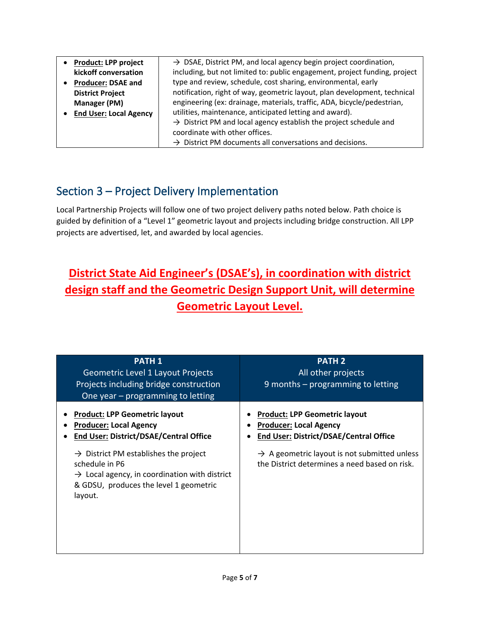| <b>Product: LPP project</b>   | $\rightarrow$ DSAE, District PM, and local agency begin project coordination, |
|-------------------------------|-------------------------------------------------------------------------------|
| kickoff conversation          | including, but not limited to: public engagement, project funding, project    |
| <b>Producer: DSAE and</b>     | type and review, schedule, cost sharing, environmental, early                 |
| <b>District Project</b>       | notification, right of way, geometric layout, plan development, technical     |
| <b>Manager (PM)</b>           | engineering (ex: drainage, materials, traffic, ADA, bicycle/pedestrian,       |
| <b>End User: Local Agency</b> | utilities, maintenance, anticipated letting and award).                       |
|                               | $\rightarrow$ District PM and local agency establish the project schedule and |
|                               | coordinate with other offices.                                                |
|                               | $\rightarrow$ District PM documents all conversations and decisions.          |

## Section 3 – Project Delivery Implementation

Local Partnership Projects will follow one of two project delivery paths noted below. Path choice is guided by definition of a "Level 1" geometric layout and projects including bridge construction. All LPP projects are advertised, let, and awarded by local agencies.

# **District State Aid Engineer's (DSAE's), in coordination with district design staff and the Geometric Design Support Unit, will determine Geometric Layout Level.**

| <b>PATH 1</b><br><b>Geometric Level 1 Layout Projects</b><br>Projects including bridge construction<br>One year - programming to letting                                              | <b>PATH 2</b><br>All other projects<br>9 months - programming to letting                                               |
|---------------------------------------------------------------------------------------------------------------------------------------------------------------------------------------|------------------------------------------------------------------------------------------------------------------------|
| <b>Product: LPP Geometric layout</b><br><b>Producer: Local Agency</b><br><b>End User: District/DSAE/Central Office</b>                                                                | <b>Product: LPP Geometric layout</b><br><b>Producer: Local Agency</b><br><b>End User: District/DSAE/Central Office</b> |
| $\rightarrow$ District PM establishes the project<br>schedule in P6<br>$\rightarrow$ Local agency, in coordination with district<br>& GDSU, produces the level 1 geometric<br>layout. | $\rightarrow$ A geometric layout is not submitted unless<br>the District determines a need based on risk.              |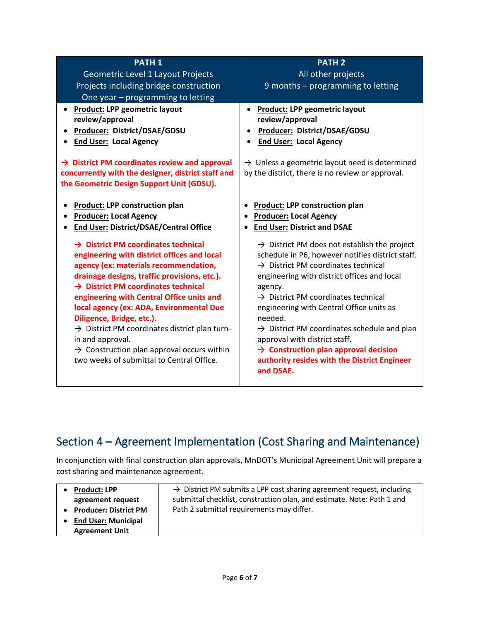| <b>PATH 1</b>                                                                                                                                                                                                                                                                                                                                                                                                                                                                                                                                            | <b>PATH 2</b>                                                                                                                                                                                                                                                                                                                                                                                                                                                                                                               |
|----------------------------------------------------------------------------------------------------------------------------------------------------------------------------------------------------------------------------------------------------------------------------------------------------------------------------------------------------------------------------------------------------------------------------------------------------------------------------------------------------------------------------------------------------------|-----------------------------------------------------------------------------------------------------------------------------------------------------------------------------------------------------------------------------------------------------------------------------------------------------------------------------------------------------------------------------------------------------------------------------------------------------------------------------------------------------------------------------|
| Geometric Level 1 Layout Projects                                                                                                                                                                                                                                                                                                                                                                                                                                                                                                                        | All other projects                                                                                                                                                                                                                                                                                                                                                                                                                                                                                                          |
| Projects including bridge construction                                                                                                                                                                                                                                                                                                                                                                                                                                                                                                                   | 9 months - programming to letting                                                                                                                                                                                                                                                                                                                                                                                                                                                                                           |
| One year - programming to letting                                                                                                                                                                                                                                                                                                                                                                                                                                                                                                                        |                                                                                                                                                                                                                                                                                                                                                                                                                                                                                                                             |
| <b>Product: LPP geometric layout</b><br>review/approval<br><b>Producer: District/DSAE/GDSU</b><br><b>End User: Local Agency</b><br>$\rightarrow$ District PM coordinates review and approval<br>concurrently with the designer, district staff and<br>the Geometric Design Support Unit (GDSU).                                                                                                                                                                                                                                                          | <b>Product: LPP geometric layout</b><br>$\bullet$<br>review/approval<br>Producer: District/DSAE/GDSU<br><b>End User: Local Agency</b><br>$\rightarrow$ Unless a geometric layout need is determined<br>by the district, there is no review or approval.                                                                                                                                                                                                                                                                     |
| <b>Product: LPP construction plan</b><br><b>Producer: Local Agency</b><br><b>End User: District/DSAE/Central Office</b><br>$\rightarrow$ District PM coordinates technical<br>engineering with district offices and local<br>agency (ex: materials recommendation,<br>drainage designs, traffic provisions, etc.).<br>$\rightarrow$ District PM coordinates technical<br>engineering with Central Office units and<br>local agency (ex: ADA, Environmental Due<br>Diligence, Bridge, etc.).<br>$\rightarrow$ District PM coordinates district plan turn- | <b>Product: LPP construction plan</b><br>$\bullet$<br><b>Producer: Local Agency</b><br><b>End User: District and DSAE</b><br>$\rightarrow$ District PM does not establish the project<br>schedule in P6, however notifies district staff.<br>$\rightarrow$ District PM coordinates technical<br>engineering with district offices and local<br>agency.<br>$\rightarrow$ District PM coordinates technical<br>engineering with Central Office units as<br>needed.<br>$\rightarrow$ District PM coordinates schedule and plan |
| in and approval.<br>$\rightarrow$ Construction plan approval occurs within<br>two weeks of submittal to Central Office.                                                                                                                                                                                                                                                                                                                                                                                                                                  | approval with district staff.<br>$\rightarrow$ Construction plan approval decision<br>authority resides with the District Engineer<br>and DSAE.                                                                                                                                                                                                                                                                                                                                                                             |

# Section 4 – Agreement Implementation (Cost Sharing and Maintenance)

In conjunction with final construction plan approvals, MnDOT's Municipal Agreement Unit will prepare a cost sharing and maintenance agreement.

| <b>Product: LPP</b>          | $\rightarrow$ District PM submits a LPP cost sharing agreement request, including |
|------------------------------|-----------------------------------------------------------------------------------|
| agreement request            | submittal checklist, construction plan, and estimate. Note: Path 1 and            |
| <b>Producer: District PM</b> | Path 2 submittal requirements may differ.                                         |
| • End User: Municipal        |                                                                                   |
| <b>Agreement Unit</b>        |                                                                                   |